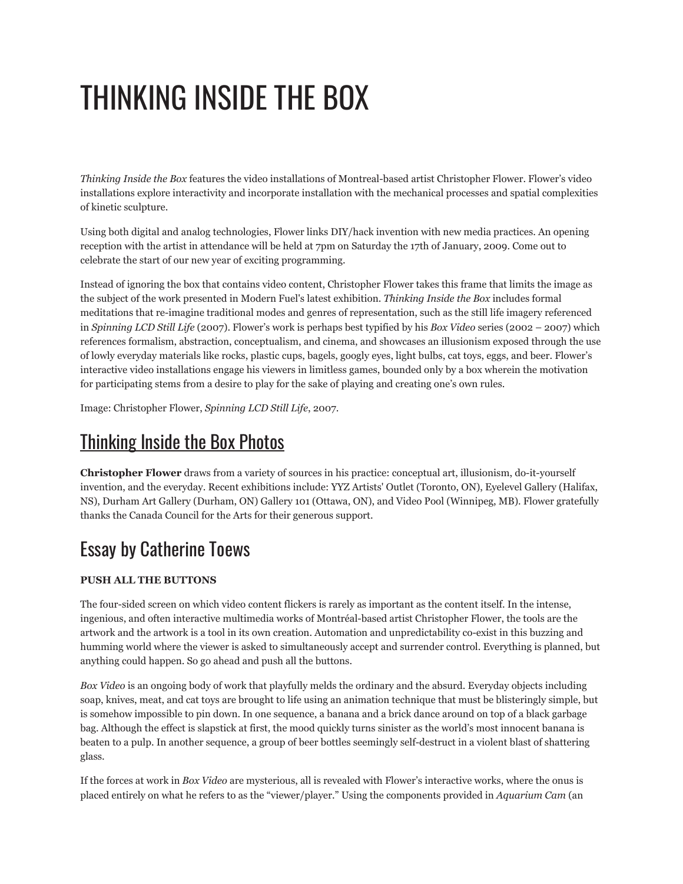## THINKING INSIDE THE BOX

*Thinking Inside the Box* features the video installations of Montreal-based artist Christopher Flower. Flower's video installations explore interactivity and incorporate installation with the mechanical processes and spatial complexities of kinetic sculpture.

Using both digital and analog technologies, Flower links DIY/hack invention with new media practices. An opening reception with the artist in attendance will be held at 7pm on Saturday the 17th of January, 2009. Come out to celebrate the start of our new year of exciting programming.

Instead of ignoring the box that contains video content, Christopher Flower takes this frame that limits the image as the subject of the work presented in Modern Fuel's latest exhibition. *Thinking Inside the Box* includes formal meditations that re-imagine traditional modes and genres of representation, such as the still life imagery referenced in *Spinning LCD Still Life* (2007). Flower's work is perhaps best typified by his *Box Video* series (2002 – 2007) which references formalism, abstraction, conceptualism, and cinema, and showcases an illusionism exposed through the use of lowly everyday materials like rocks, plastic cups, bagels, googly eyes, light bulbs, cat toys, eggs, and beer. Flower's interactive video installations engage his viewers in limitless games, bounded only by a box wherein the motivation for participating stems from a desire to play for the sake of playing and creating one's own rules.

Image: Christopher Flower, *Spinning LCD Still Life*, 2007.

## [Thinking](http://www.flickr.com/photos/modernfuel/sets/72157614397570997/) Inside the Box Photos

**Christopher Flower** draws from a variety of sources in his practice: conceptual art, illusionism, do-it-yourself invention, and the everyday. Recent exhibitions include: YYZ Artists' Outlet (Toronto, ON), Eyelevel Gallery (Halifax, NS), Durham Art Gallery (Durham, ON) Gallery 101 (Ottawa, ON), and Video Pool (Winnipeg, MB). Flower gratefully thanks the Canada Council for the Arts for their generous support.

## Essay by Catherine Toews

## **PUSH ALL THE BUTTONS**

The four-sided screen on which video content flickers is rarely as important as the content itself. In the intense, ingenious, and often interactive multimedia works of Montréal-based artist Christopher Flower, the tools are the artwork and the artwork is a tool in its own creation. Automation and unpredictability co-exist in this buzzing and humming world where the viewer is asked to simultaneously accept and surrender control. Everything is planned, but anything could happen. So go ahead and push all the buttons.

*Box Video* is an ongoing body of work that playfully melds the ordinary and the absurd. Everyday objects including soap, knives, meat, and cat toys are brought to life using an animation technique that must be blisteringly simple, but is somehow impossible to pin down. In one sequence, a banana and a brick dance around on top of a black garbage bag. Although the effect is slapstick at first, the mood quickly turns sinister as the world's most innocent banana is beaten to a pulp. In another sequence, a group of beer bottles seemingly self-destruct in a violent blast of shattering glass.

If the forces at work in *Box Video* are mysterious, all is revealed with Flower's interactive works, where the onus is placed entirely on what he refers to as the "viewer/player." Using the components provided in *Aquarium Cam* (an